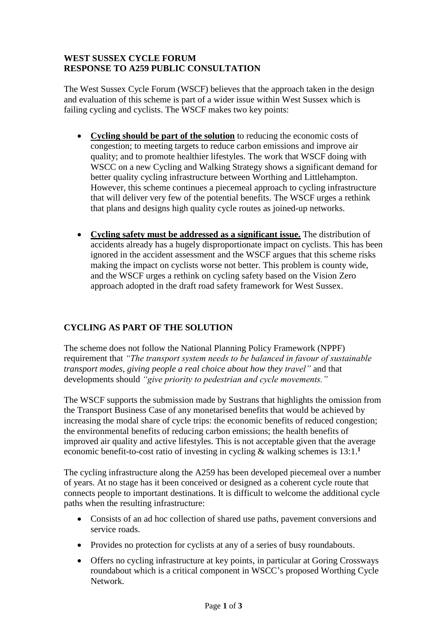## **WEST SUSSEX CYCLE FORUM RESPONSE TO A259 PUBLIC CONSULTATION**

The West Sussex Cycle Forum (WSCF) believes that the approach taken in the design and evaluation of this scheme is part of a wider issue within West Sussex which is failing cycling and cyclists. The WSCF makes two key points:

- Cycling should be part of the solution to reducing the economic costs of congestion; to meeting targets to reduce carbon emissions and improve air quality; and to promote healthier lifestyles. The work that WSCF doing with WSCC on a new Cycling and Walking Strategy shows a significant demand for better quality cycling infrastructure between Worthing and Littlehampton. However, this scheme continues a piecemeal approach to cycling infrastructure that will deliver very few of the potential benefits. The WSCF urges a rethink that plans and designs high quality cycle routes as joined-up networks.
- **Cycling safety must be addressed as a significant issue.** The distribution of accidents already has a hugely disproportionate impact on cyclists. This has been ignored in the accident assessment and the WSCF argues that this scheme risks making the impact on cyclists worse not better. This problem is county wide, and the WSCF urges a rethink on cycling safety based on the Vision Zero approach adopted in the draft road safety framework for West Sussex.

## **CYCLING AS PART OF THE SOLUTION**

The scheme does not follow the National Planning Policy Framework (NPPF) requirement that *"The transport system needs to be balanced in favour of sustainable transport modes, giving people a real choice about how they travel"* and that developments should *"give priority to pedestrian and cycle movements."* 

The WSCF supports the submission made by Sustrans that highlights the omission from the Transport Business Case of any monetarised benefits that would be achieved by increasing the modal share of cycle trips: the economic benefits of reduced congestion; the environmental benefits of reducing carbon emissions; the health benefits of improved air quality and active lifestyles. This is not acceptable given that the average economic benefit-to-cost ratio of investing in cycling & walking schemes is 13:1.**<sup>1</sup>**

The cycling infrastructure along the A259 has been developed piecemeal over a number of years. At no stage has it been conceived or designed as a coherent cycle route that connects people to important destinations. It is difficult to welcome the additional cycle paths when the resulting infrastructure:

- Consists of an ad hoc collection of shared use paths, pavement conversions and service roads.
- Provides no protection for cyclists at any of a series of busy roundabouts.
- Offers no cycling infrastructure at key points, in particular at Goring Crossways roundabout which is a critical component in WSCC's proposed Worthing Cycle Network.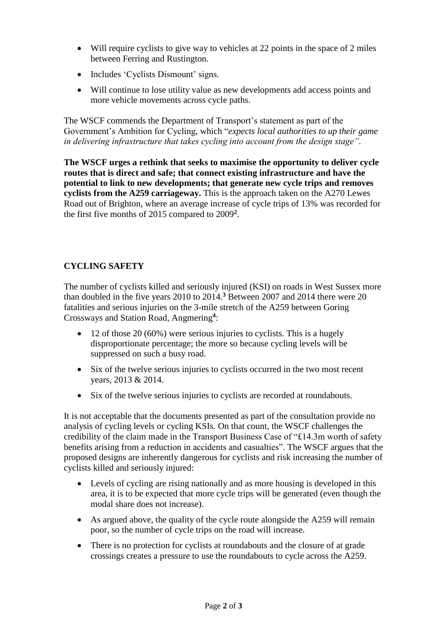- Will require cyclists to give way to vehicles at 22 points in the space of 2 miles between Ferring and Rustington.
- Includes 'Cyclists Dismount' signs.
- Will continue to lose utility value as new developments add access points and more vehicle movements across cycle paths.

The WSCF commends the Department of Transport's statement as part of the Government's Ambition for Cycling, which "*expects local authorities to up their game in delivering infrastructure that takes cycling into account from the design stage".*

**The WSCF urges a rethink that seeks to maximise the opportunity to deliver cycle routes that is direct and safe; that connect existing infrastructure and have the potential to link to new developments; that generate new cycle trips and removes cyclists from the A259 carriageway.** This is the approach taken on the A270 Lewes Road out of Brighton, where an average increase of cycle trips of 13% was recorded for the first five months of 2015 compared to 2009**<sup>2</sup>** .

## **CYCLING SAFETY**

The number of cyclists killed and seriously injured (KSI) on roads in West Sussex more than doubled in the five years 2010 to 2014.**<sup>3</sup>** Between 2007 and 2014 there were 20 fatalities and serious injuries on the 3-mile stretch of the A259 between Goring Crossways and Station Road, Angmering**<sup>4</sup>** :

- $\bullet$  12 of those 20 (60%) were serious injuries to cyclists. This is a hugely disproportionate percentage; the more so because cycling levels will be suppressed on such a busy road.
- Six of the twelve serious injuries to cyclists occurred in the two most recent years, 2013 & 2014.
- Six of the twelve serious injuries to cyclists are recorded at roundabouts.

It is not acceptable that the documents presented as part of the consultation provide no analysis of cycling levels or cycling KSIs. On that count, the WSCF challenges the credibility of the claim made in the Transport Business Case of "£14.3m worth of safety benefits arising from a reduction in accidents and casualties". The WSCF argues that the proposed designs are inherently dangerous for cyclists and risk increasing the number of cyclists killed and seriously injured:

- Levels of cycling are rising nationally and as more housing is developed in this area, it is to be expected that more cycle trips will be generated (even though the modal share does not increase).
- As argued above, the quality of the cycle route alongside the A259 will remain poor, so the number of cycle trips on the road will increase.
- There is no protection for cyclists at roundabouts and the closure of at grade crossings creates a pressure to use the roundabouts to cycle across the A259.